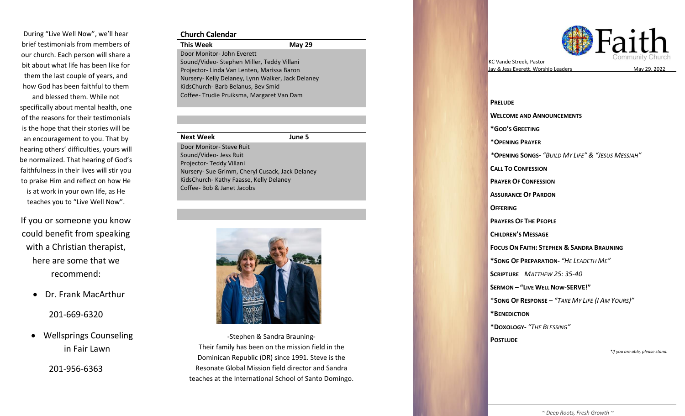During "Live Well Now" , we'll hear brief testimonials from members of our church. Each person will share a bit about what life has been like for them the last couple of years, and how God has been faithful to them

and blessed them. While not specifically about mental health, one of the reasons for their testimonials is the hope that their stories will be an encouragement to you. That by hearing others' difficulties, yours will be normalized. That hearing of God's faithfulness in their lives will stir you to praise Him and reflect on how He is at work in your own life, as He teaches you to "Live Well Now".

If you or someone you know could benefit from speaking with a Christian therapist, here are some that we recommend:

• Dr. Frank MacArthur

201 -669 -6320

• Wellsprings Counseling in Fair Lawn

201 -956 -6363

### **Church Calendar**

**This Week 2 9** Door Monitor - John Everett Sound/Video - Stephen Miller, Teddy Villani Projecto r - Linda Van Lenten, Marissa Baron Nursery - Kelly Delaney, Lynn Walker, Jack Delaney KidsChurch - Barb Belanus, Bev Smid Coffee - Trudie Pruiksma, Margaret Van Dam

#### **Next Week June 5**

Door Monitor - Steve Ruit Sound/Video - Jess Ruit Projector- Teddy Villani Nursery - Sue Grimm, Cheryl Cusack, Jack Delaney KidsChurch - Kathy Faasse, Kelly Delaney Coffee - Bob & Janet Jacobs



Their family has been on the mission field in the Resonate Global Mission field director and Sandra -Stephen & Sandra Brauning - Dominican Republic (DR) since 1991. Steve is the teaches at the International School of Santo Domingo.



KC Vande Streek , Pastor Jay & Jess Everett, Worship Leaders



**PRELUDE WELCOME AND ANNOUNCEMENTS \*GOD 'S GREETING \* OPENING PRAYER**  *\** **OPENING SONG S -** *"BUILD MY LIFE " & "JESUS MESSIAH "* **CALL TO CONFESSION PRAYER OF CONFESSION ASSURANCE OF PARDON OFFERING PRAYERS OF THE PEOPLE CHILDREN 'S MESSAGE FOCUS ON FAITH: STEPHEN & SANDRA BRAUNING \*SONG OF PREPARATION -** *"HE LEADETH M E "* **SCRIPTURE**  *MATTHEW 25: 35 -40* **SERMON – " LIVE WELL NOW -SERVE! "** \* **SONG OF RESPONSE** – *" TAKE MY LIFE (I AM YOURS) "* **\*BENEDICTION \*DOXOLOGY -** *" THE BLESSING "* **POSTLUDE** *\*If you are able, please stand.*